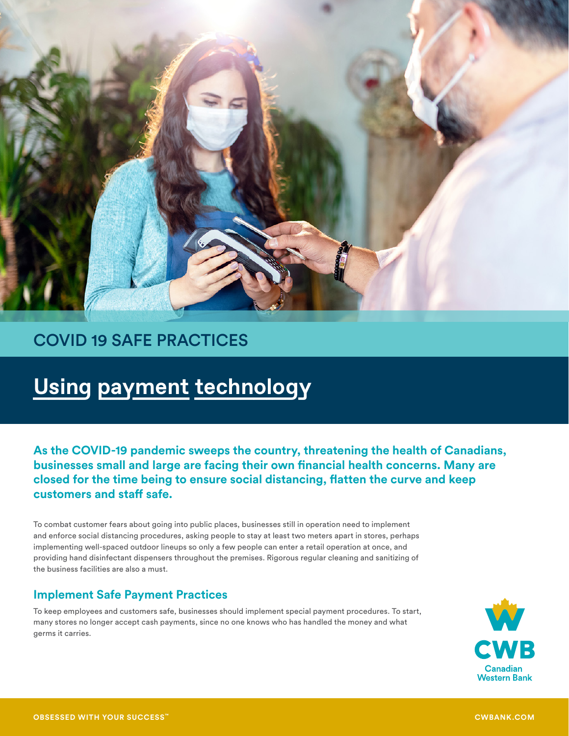

# COVID 19 SAFE PRACTICES

# **Using payment technology**

**As the COVID-19 pandemic sweeps the country, threatening the health of Canadians, businesses small and large are facing their own financial health concerns. Many are closed for the time being to ensure social distancing, flatten the curve and keep customers and staff safe.**

To combat customer fears about going into public places, businesses still in operation need to implement and enforce social distancing procedures, asking people to stay at least two meters apart in stores, perhaps implementing well-spaced outdoor lineups so only a few people can enter a retail operation at once, and providing hand disinfectant dispensers throughout the premises. Rigorous regular cleaning and sanitizing of the business facilities are also a must.

## **Implement Safe Payment Practices**

To keep employees and customers safe, businesses should implement special payment procedures. To start, many stores no longer accept cash payments, since no one knows who has handled the money and what germs it carries.